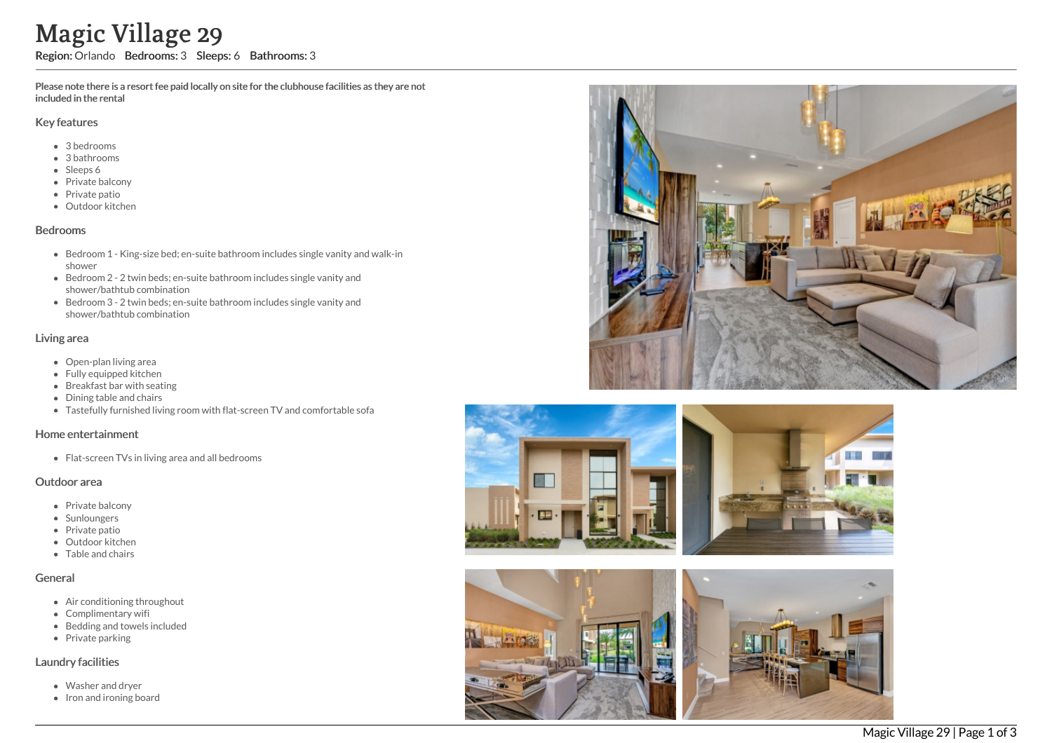Please note there is a resort fee paid locally on site for the clubhouse facilities as they are not included in the rental

#### Key features

- 3 bedrooms
- 3 bathrooms
- Sleeps 6
- Private balcony
- Private patio
- Outdoor kitchen

#### Bedrooms

- Bedroom 1 King-size bed; en-suite bathroom includes single vanity and walk-in shower
- Bedroom 2 2 twin beds; en-suite bathroom includes single vanity and shower/bathtub combination
- Bedroom 3 2 twin beds; en-suite bathroom includes single vanity and shower/bathtub combination

### Living area

- Open-plan living area
- Fully equipped kitchen
- Breakfast bar with seating
- Dining table and chairs
- Tastefully furnished living room with flat-screen TV and comfortable sofa

#### Home entertainment

Flat-screen TVs in living area and all bedrooms

#### Outdoor area

- Private balcony
- Sunloungers
- Private patio
- Outdoor kitchen
- Table and chairs

### General

- Air conditioning throughout
- Complimentary wifi
- Bedding and towels included
- Private parking

### Laundry facilities

- Washer and dryer
- 





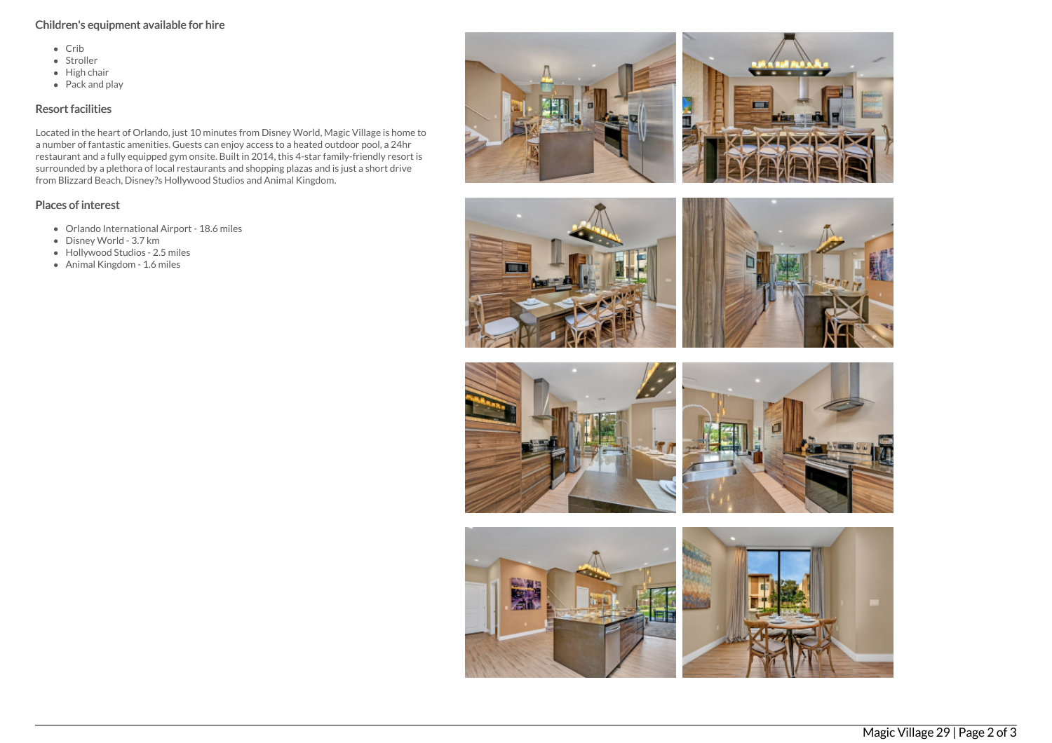## Children's equipment available for hire

- Crib
- Stroller
- High chair
- $\bullet$  Pack and play

## Resort facilities

Located in the heart of Orlando, just 10 minutes from Disney World, Magic Village is home to a number of fantastic amenities. Guests can enjoy access to a heated outdoor pool, a 24hr restaurant and a fully equipped gym onsite. Built in 2014, this 4-star family-friendly resort is surrounded by a plethora of local restaurants and shopping plazas and is just a short drive from Blizzard Beach, Disney?s Hollywood Studios and Animal Kingdom.

# Places of interest

- Orlando International Airport 18.6 miles
- Disney World 3.7 km
- Hollywood Studios 2.5 miles
- Animal Kingdom 1.6 miles